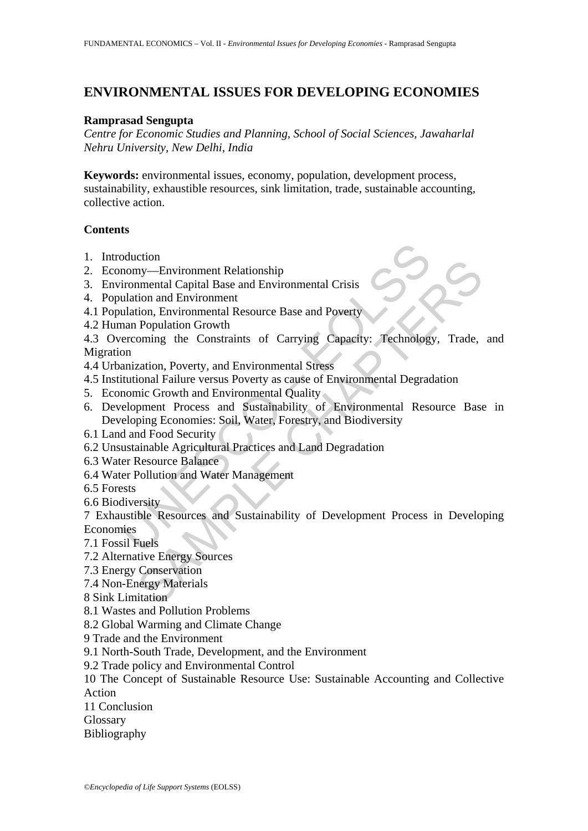# **ENVIRONMENTAL ISSUES FOR DEVELOPING ECONOMIES**

#### **Ramprasad Sengupta**

*Centre for Economic Studies and Planning, School of Social Sciences, Jawaharlal Nehru University, New Delhi, India*

**Keywords:** environmental issues, economy, population, development process, sustainability, exhaustible resources, sink limitation, trade, sustainable accounting, collective action.

#### **Contents**

- 1. Introduction
- 2. Economy—Environment Relationship
- 3. Environmental Capital Base and Environmental Crisis
- 4. Population and Environment
- 4.1 Population, Environmental Resource Base and Poverty
- 4.2 Human Population Growth

4.3 Overcoming the Constraints of Carrying Capacity: Technology, Trade, and Migration

- 4.4 Urbanization, Poverty, and Environmental Stress
- 4.5 Institutional Failure versus Poverty as cause of Environmental Degradation
- 5. Economic Growth and Environmental Quality
- oduction<br>
momy—Environment Relationship<br>
ironmental Capital Base and Environmental Crisis<br>
ulation and Environment<br>
ulation, Environmental Resource Base and Poverty<br>
man Population Growth<br>
encroming the Constraints of Carr Com<br>
The Mexican Constant Relationship<br>
my—Environmental Capital Base and Environmental Crisis<br>
commental Resource Base and Poverty<br>
Folyndian Growth<br>
Population Growth<br>
Poming the Constraints of Carrying Capacity: Technol 6. Development Process and Sustainability of Environmental Resource Base in Developing Economies: Soil, Water, Forestry, and Biodiversity
- 6.1 Land and Food Security
- 6.2 Unsustainable Agricultural Practices and Land Degradation
- 6.3 Water Resource Balance
- 6.4 Water Pollution and Water Management
- 6.5 Forests
- 6.6 Biodiversity

7 Exhaustible Resources and Sustainability of Development Process in Developing Economies

7.1 Fossil Fuels

- 7.2 Alternative Energy Sources
- 7.3 Energy Conservation
- 7.4 Non-Energy Materials
- 8 Sink Limitation
- 8.1 Wastes and Pollution Problems
- 8.2 Global Warming and Climate Change
- 9 Trade and the Environment
- 9.1 North-South Trade, Development, and the Environment
- 9.2 Trade policy and Environmental Control

10 The Concept of Sustainable Resource Use: Sustainable Accounting and Collective Action

11 Conclusion

**Glossary** 

Bibliography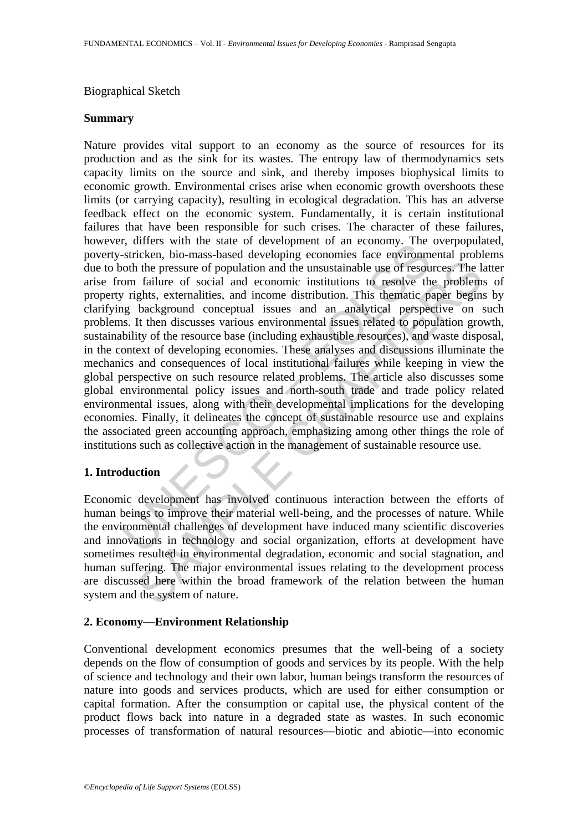### Biographical Sketch

### **Summary**

r, uners wur me state of development of an economy. The stricken, bio-mass-based developing economies face environm<br>solution the pressure of population and the unsustainable use of resources<br>of results, externalities, and the pressure of population and the unsustainable use of resources. The line the pressure of population and the unsustainable use of resources. The line fullure of social and economic institutions to resolve the problem pha Nature provides vital support to an economy as the source of resources for its production and as the sink for its wastes. The entropy law of thermodynamics sets capacity limits on the source and sink, and thereby imposes biophysical limits to economic growth. Environmental crises arise when economic growth overshoots these limits (or carrying capacity), resulting in ecological degradation. This has an adverse feedback effect on the economic system. Fundamentally, it is certain institutional failures that have been responsible for such crises. The character of these failures, however, differs with the state of development of an economy. The overpopulated, poverty-stricken, bio-mass-based developing economies face environmental problems due to both the pressure of population and the unsustainable use of resources. The latter arise from failure of social and economic institutions to resolve the problems of property rights, externalities, and income distribution. This thematic paper begins by clarifying background conceptual issues and an analytical perspective on such problems. It then discusses various environmental issues related to population growth, sustainability of the resource base (including exhaustible resources), and waste disposal, in the context of developing economies. These analyses and discussions illuminate the mechanics and consequences of local institutional failures while keeping in view the global perspective on such resource related problems. The article also discusses some global environmental policy issues and north-south trade and trade policy related environmental issues, along with their developmental implications for the developing economies. Finally, it delineates the concept of sustainable resource use and explains the associated green accounting approach, emphasizing among other things the role of institutions such as collective action in the management of sustainable resource use.

### **1. Introduction**

Economic development has involved continuous interaction between the efforts of human beings to improve their material well-being, and the processes of nature. While the environmental challenges of development have induced many scientific discoveries and innovations in technology and social organization, efforts at development have sometimes resulted in environmental degradation, economic and social stagnation, and human suffering. The major environmental issues relating to the development process are discussed here within the broad framework of the relation between the human system and the system of nature.

### **2. Economy—Environment Relationship**

Conventional development economics presumes that the well-being of a society depends on the flow of consumption of goods and services by its people. With the help of science and technology and their own labor, human beings transform the resources of nature into goods and services products, which are used for either consumption or capital formation. After the consumption or capital use, the physical content of the product flows back into nature in a degraded state as wastes. In such economic processes of transformation of natural resources—biotic and abiotic—into economic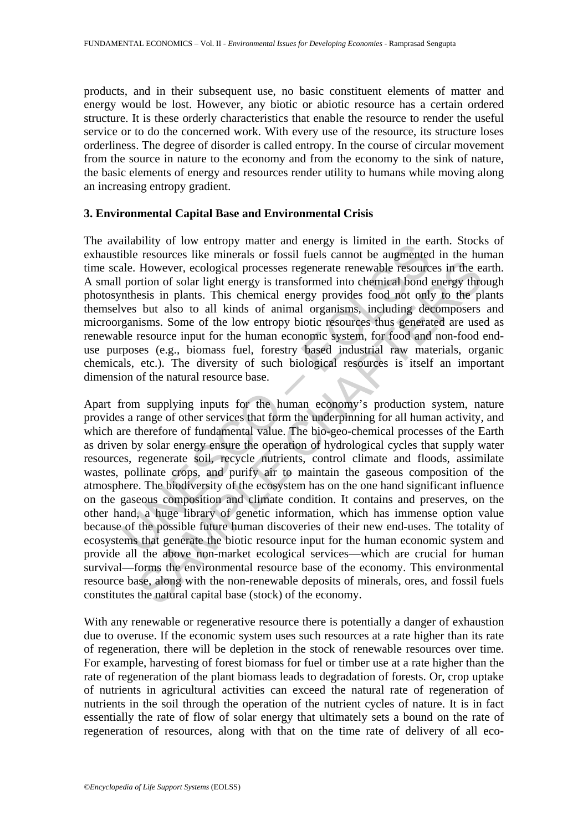products, and in their subsequent use, no basic constituent elements of matter and energy would be lost. However, any biotic or abiotic resource has a certain ordered structure. It is these orderly characteristics that enable the resource to render the useful service or to do the concerned work. With every use of the resource, its structure loses orderliness. The degree of disorder is called entropy. In the course of circular movement from the source in nature to the economy and from the economy to the sink of nature, the basic elements of energy and resources render utility to humans while moving along an increasing entropy gradient.

### **3. Environmental Capital Base and Environmental Crisis**

The availability of low entropy matter and energy is limited in the earth. Stocks of exhaustible resources like minerals or fossil fuels cannot be augmented in the human time scale. However, ecological processes regenerate renewable resources in the earth. A small portion of solar light energy is transformed into chemical bond energy through photosynthesis in plants. This chemical energy provides food not only to the plants themselves but also to all kinds of animal organisms, including decomposers and microorganisms. Some of the low entropy biotic resources thus generated are used as renewable resource input for the human economic system, for food and non-food enduse purposes (e.g., biomass fuel, forestry based industrial raw materials, organic chemicals, etc.). The diversity of such biological resources is itself an important dimension of the natural resource base.

manning of two entropy matter and energy is minical in the e.<br>High resources like minerals or fossil fuels cannot be augmented and<br>the resources like minerals or fossil fuels cannot be augmented<br>particular process. The con However, ecological processes regenerate renewable resources in the entrion of solar light energy is transformed into chemical bond energy thresis in plants. This chemical energy provides food not only to the phi but also Apart from supplying inputs for the human economy's production system, nature provides a range of other services that form the underpinning for all human activity, and which are therefore of fundamental value. The bio-geo-chemical processes of the Earth as driven by solar energy ensure the operation of hydrological cycles that supply water resources, regenerate soil, recycle nutrients, control climate and floods, assimilate wastes, pollinate crops, and purify air to maintain the gaseous composition of the atmosphere. The biodiversity of the ecosystem has on the one hand significant influence on the gaseous composition and climate condition. It contains and preserves, on the other hand, a huge library of genetic information, which has immense option value because of the possible future human discoveries of their new end-uses. The totality of ecosystems that generate the biotic resource input for the human economic system and provide all the above non-market ecological services—which are crucial for human survival—forms the environmental resource base of the economy. This environmental resource base, along with the non-renewable deposits of minerals, ores, and fossil fuels constitutes the natural capital base (stock) of the economy.

With any renewable or regenerative resource there is potentially a danger of exhaustion due to overuse. If the economic system uses such resources at a rate higher than its rate of regeneration, there will be depletion in the stock of renewable resources over time. For example, harvesting of forest biomass for fuel or timber use at a rate higher than the rate of regeneration of the plant biomass leads to degradation of forests. Or, crop uptake of nutrients in agricultural activities can exceed the natural rate of regeneration of nutrients in the soil through the operation of the nutrient cycles of nature. It is in fact essentially the rate of flow of solar energy that ultimately sets a bound on the rate of regeneration of resources, along with that on the time rate of delivery of all eco-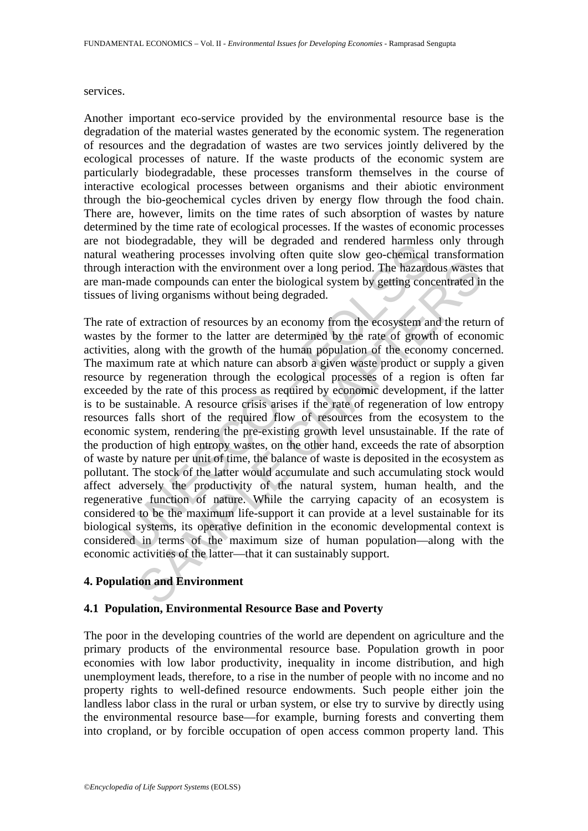#### services.

Another important eco-service provided by the environmental resource base is the degradation of the material wastes generated by the economic system. The regeneration of resources and the degradation of wastes are two services jointly delivered by the ecological processes of nature. If the waste products of the economic system are particularly biodegradable, these processes transform themselves in the course of interactive ecological processes between organisms and their abiotic environment through the bio-geochemical cycles driven by energy flow through the food chain. There are, however, limits on the time rates of such absorption of wastes by nature determined by the time rate of ecological processes. If the wastes of economic processes are not biodegradable, they will be degraded and rendered harmless only through natural weathering processes involving often quite slow geo-chemical transformation through interaction with the environment over a long period. The hazardous wastes that are man-made compounds can enter the biological system by getting concentrated in the tissues of living organisms without being degraded.

bloogradiate, they will be legaded and entereted trainmession<br>weathering processes involving often quite slow geo-chemical<br>interaction with the environment over a long period. The hazard-<br>made compounds can enter the biolo metalling which the environment over a long period. The hazardous wastes and ecompounds can enter the biological system by getting concentrated in virty or expressions without being degraded.<br>
Sextraction of resources by a The rate of extraction of resources by an economy from the ecosystem and the return of wastes by the former to the latter are determined by the rate of growth of economic activities, along with the growth of the human population of the economy concerned. The maximum rate at which nature can absorb a given waste product or supply a given resource by regeneration through the ecological processes of a region is often far exceeded by the rate of this process as required by economic development, if the latter is to be sustainable. A resource crisis arises if the rate of regeneration of low entropy resources falls short of the required flow of resources from the ecosystem to the economic system, rendering the pre-existing growth level unsustainable. If the rate of the production of high entropy wastes, on the other hand, exceeds the rate of absorption of waste by nature per unit of time, the balance of waste is deposited in the ecosystem as pollutant. The stock of the latter would accumulate and such accumulating stock would affect adversely the productivity of the natural system, human health, and the regenerative function of nature. While the carrying capacity of an ecosystem is considered to be the maximum life-support it can provide at a level sustainable for its biological systems, its operative definition in the economic developmental context is considered in terms of the maximum size of human population—along with the economic activities of the latter—that it can sustainably support.

## **4. Population and Environment**

### **4.1 Population, Environmental Resource Base and Poverty**

The poor in the developing countries of the world are dependent on agriculture and the primary products of the environmental resource base. Population growth in poor economies with low labor productivity, inequality in income distribution, and high unemployment leads, therefore, to a rise in the number of people with no income and no property rights to well-defined resource endowments. Such people either join the landless labor class in the rural or urban system, or else try to survive by directly using the environmental resource base—for example, burning forests and converting them into cropland, or by forcible occupation of open access common property land. This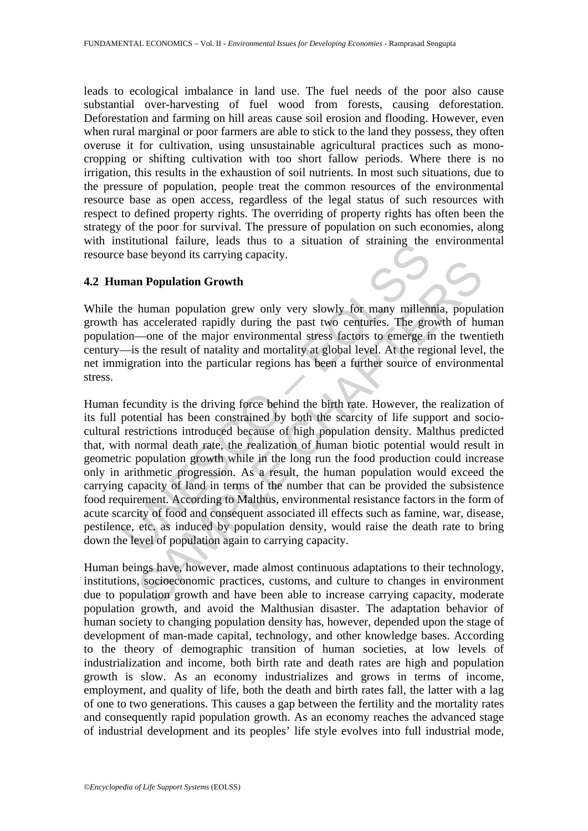leads to ecological imbalance in land use. The fuel needs of the poor also cause substantial over-harvesting of fuel wood from forests, causing deforestation. Deforestation and farming on hill areas cause soil erosion and flooding. However, even when rural marginal or poor farmers are able to stick to the land they possess, they often overuse it for cultivation, using unsustainable agricultural practices such as monocropping or shifting cultivation with too short fallow periods. Where there is no irrigation, this results in the exhaustion of soil nutrients. In most such situations, due to the pressure of population, people treat the common resources of the environmental resource base as open access, regardless of the legal status of such resources with respect to defined property rights. The overriding of property rights has often been the strategy of the poor for survival. The pressure of population on such economies, along with institutional failure, leads thus to a situation of straining the environmental resource base beyond its carrying capacity.

### **4.2 Human Population Growth**

While the human population grew only very slowly for many millennia, population growth has accelerated rapidly during the past two centuries. The growth of human population—one of the major environmental stress factors to emerge in the twentieth century—is the result of natality and mortality at global level. At the regional level, the net immigration into the particular regions has been a further source of environmental stress.

Strutubial Tantue, reads thus to a struation of straining the<br>base beyond its carrying capacity.<br> **man Population Growth**<br>
the human population grew only very slowly for many millent<br>
has accelerated rapidly during the pas **n Population Growth**<br>**n Population Growth**<br>**human** population grew only very slowly for many millennia, populate<br>accelerated rapidly during the past two centuries. The growth of hu<br>—one of the major environmental stre Human fecundity is the driving force behind the birth rate. However, the realization of its full potential has been constrained by both the scarcity of life support and sociocultural restrictions introduced because of high population density. Malthus predicted that, with normal death rate, the realization of human biotic potential would result in geometric population growth while in the long run the food production could increase only in arithmetic progression. As a result, the human population would exceed the carrying capacity of land in terms of the number that can be provided the subsistence food requirement. According to Malthus, environmental resistance factors in the form of acute scarcity of food and consequent associated ill effects such as famine, war, disease, pestilence, etc. as induced by population density, would raise the death rate to bring down the level of population again to carrying capacity.

Human beings have, however, made almost continuous adaptations to their technology, institutions, socioeconomic practices, customs, and culture to changes in environment due to population growth and have been able to increase carrying capacity, moderate population growth, and avoid the Malthusian disaster. The adaptation behavior of human society to changing population density has, however, depended upon the stage of development of man-made capital, technology, and other knowledge bases. According to the theory of demographic transition of human societies, at low levels of industrialization and income, both birth rate and death rates are high and population growth is slow. As an economy industrializes and grows in terms of income, employment, and quality of life, both the death and birth rates fall, the latter with a lag of one to two generations. This causes a gap between the fertility and the mortality rates and consequently rapid population growth. As an economy reaches the advanced stage of industrial development and its peoples' life style evolves into full industrial mode,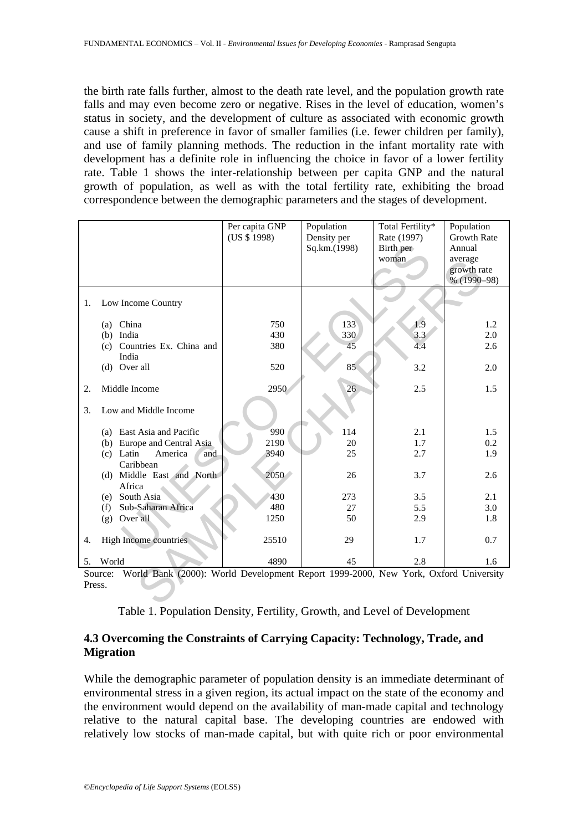the birth rate falls further, almost to the death rate level, and the population growth rate falls and may even become zero or negative. Rises in the level of education, women's status in society, and the development of culture as associated with economic growth cause a shift in preference in favor of smaller families (i.e. fewer children per family), and use of family planning methods. The reduction in the infant mortality rate with development has a definite role in influencing the choice in favor of a lower fertility rate. Table 1 shows the inter-relationship between per capita GNP and the natural growth of population, as well as with the total fertility rate, exhibiting the broad correspondence between the demographic parameters and the stages of development.

|                                                                                               |                               | Per capita GNP | Population   | Total Fertility* | Population         |  |
|-----------------------------------------------------------------------------------------------|-------------------------------|----------------|--------------|------------------|--------------------|--|
|                                                                                               |                               | (US \$ 1998)   | Density per  | Rate (1997)      | <b>Growth Rate</b> |  |
|                                                                                               |                               |                | Sq.km.(1998) | Birth per        | Annual             |  |
|                                                                                               |                               |                |              | woman            | average            |  |
|                                                                                               |                               |                |              |                  | growth rate        |  |
|                                                                                               |                               |                |              |                  | % (1990-98)        |  |
|                                                                                               |                               |                |              |                  |                    |  |
| 1.                                                                                            | Low Income Country            |                |              |                  |                    |  |
|                                                                                               |                               |                |              |                  |                    |  |
|                                                                                               | (a) China                     | 750            | 133          | 1.9              | 1.2                |  |
|                                                                                               | (b) India                     | 430            | 330          | 3.3              | 2.0                |  |
|                                                                                               | (c) Countries Ex. China and   | 380            | 45           | 4.4              | 2.6                |  |
|                                                                                               | India                         |                |              |                  |                    |  |
|                                                                                               | (d) Over all                  | 520            | 85           | 3.2              | 2.0                |  |
|                                                                                               |                               |                |              |                  |                    |  |
| 2.                                                                                            | Middle Income                 | 2950           | 26           | 2.5              | 1.5                |  |
| 3.                                                                                            | Low and Middle Income         |                |              |                  |                    |  |
|                                                                                               |                               |                |              |                  |                    |  |
|                                                                                               | (a) East Asia and Pacific     | 990            | 114          | 2.1              | 1.5                |  |
|                                                                                               | (b) Europe and Central Asia   | 2190           | 20           | 1.7              | 0.2                |  |
|                                                                                               | $(c)$ Latin<br>America<br>and | 3940           | 25           | 2.7              | 1.9                |  |
|                                                                                               | Caribbean                     |                |              |                  |                    |  |
|                                                                                               | (d) Middle East and North     | 2050           | 26           | 3.7              | 2.6                |  |
|                                                                                               | Africa                        |                |              |                  |                    |  |
|                                                                                               | (e) South Asia                | 430            | 273          | 3.5              | 2.1                |  |
|                                                                                               | Sub-Saharan Africa<br>(f)     | 480            | 27           | 5.5              | 3.0                |  |
|                                                                                               | (g) Over all                  | 1250           | 50           | 2.9              | 1.8                |  |
|                                                                                               |                               |                |              |                  |                    |  |
| 4.                                                                                            | High Income countries         | 25510          | 29           | 1.7              | 0.7                |  |
|                                                                                               |                               |                |              |                  |                    |  |
| 5.                                                                                            | World                         | 4890           | 45           | 2.8              | 1.6                |  |
| World Bank (2000): World Development Report 1999-2000, New York, Oxford University<br>Source: |                               |                |              |                  |                    |  |
| Press.                                                                                        |                               |                |              |                  |                    |  |
|                                                                                               |                               |                |              |                  |                    |  |

|  |  |  | Table 1. Population Density, Fertility, Growth, and Level of Development |
|--|--|--|--------------------------------------------------------------------------|
|--|--|--|--------------------------------------------------------------------------|

## **4.3 Overcoming the Constraints of Carrying Capacity: Technology, Trade, and Migration**

While the demographic parameter of population density is an immediate determinant of environmental stress in a given region, its actual impact on the state of the economy and the environment would depend on the availability of man-made capital and technology relative to the natural capital base. The developing countries are endowed with relatively low stocks of man-made capital, but with quite rich or poor environmental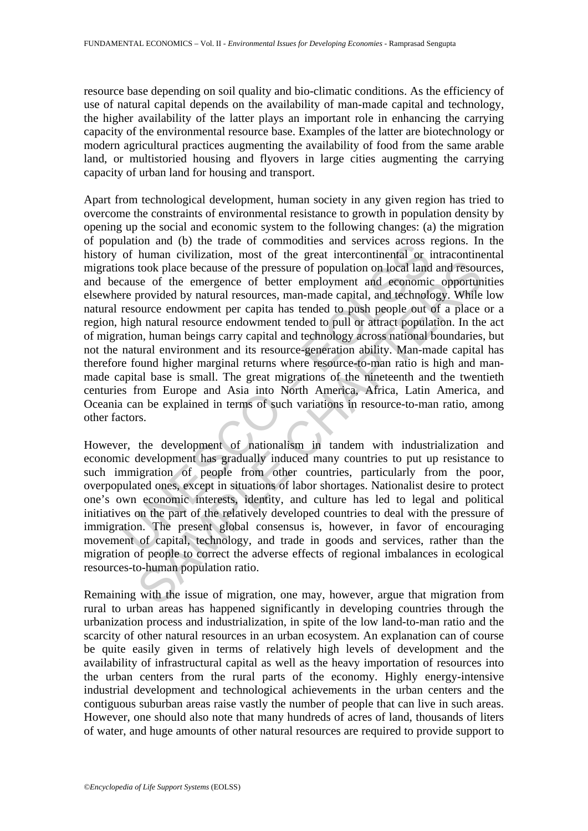resource base depending on soil quality and bio-climatic conditions. As the efficiency of use of natural capital depends on the availability of man-made capital and technology, the higher availability of the latter plays an important role in enhancing the carrying capacity of the environmental resource base. Examples of the latter are biotechnology or modern agricultural practices augmenting the availability of food from the same arable land, or multistoried housing and flyovers in large cities augmenting the carrying capacity of urban land for housing and transport.

and the multiple under or common<br>dustained and of the mate of common and of the man civilization, most of the great intercontinental or i<br>ons took place because of the pressure of population on local land<br>cause of the emer took place because of the pressure of population on local land and resource of the emergence of better employment and economic opportune of the emergence of better employment and economic opportune overvided by natural res Apart from technological development, human society in any given region has tried to overcome the constraints of environmental resistance to growth in population density by opening up the social and economic system to the following changes: (a) the migration of population and (b) the trade of commodities and services across regions. In the history of human civilization, most of the great intercontinental or intracontinental migrations took place because of the pressure of population on local land and resources, and because of the emergence of better employment and economic opportunities elsewhere provided by natural resources, man-made capital, and technology. While low natural resource endowment per capita has tended to push people out of a place or a region, high natural resource endowment tended to pull or attract population. In the act of migration, human beings carry capital and technology across national boundaries, but not the natural environment and its resource-generation ability. Man-made capital has therefore found higher marginal returns where resource-to-man ratio is high and manmade capital base is small. The great migrations of the nineteenth and the twentieth centuries from Europe and Asia into North America, Africa, Latin America, and Oceania can be explained in terms of such variations in resource-to-man ratio, among other factors.

However, the development of nationalism in tandem with industrialization and economic development has gradually induced many countries to put up resistance to such immigration of people from other countries, particularly from the poor, overpopulated ones, except in situations of labor shortages. Nationalist desire to protect one's own economic interests, identity, and culture has led to legal and political initiatives on the part of the relatively developed countries to deal with the pressure of immigration. The present global consensus is, however, in favor of encouraging movement of capital, technology, and trade in goods and services, rather than the migration of people to correct the adverse effects of regional imbalances in ecological resources-to-human population ratio.

Remaining with the issue of migration, one may, however, argue that migration from rural to urban areas has happened significantly in developing countries through the urbanization process and industrialization, in spite of the low land-to-man ratio and the scarcity of other natural resources in an urban ecosystem. An explanation can of course be quite easily given in terms of relatively high levels of development and the availability of infrastructural capital as well as the heavy importation of resources into the urban centers from the rural parts of the economy. Highly energy-intensive industrial development and technological achievements in the urban centers and the contiguous suburban areas raise vastly the number of people that can live in such areas. However, one should also note that many hundreds of acres of land, thousands of liters of water, and huge amounts of other natural resources are required to provide support to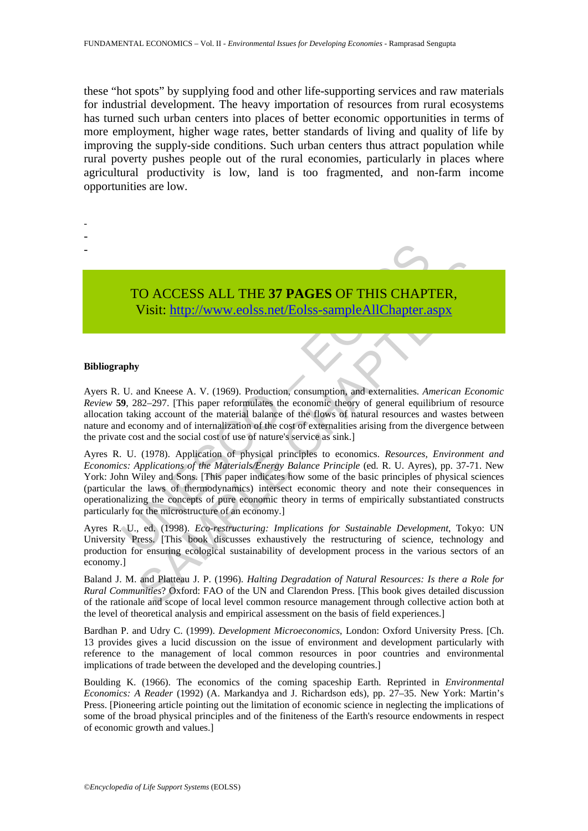these "hot spots" by supplying food and other life-supporting services and raw materials for industrial development. The heavy importation of resources from rural ecosystems has turned such urban centers into places of better economic opportunities in terms of more employment, higher wage rates, better standards of living and quality of life by improving the supply-side conditions. Such urban centers thus attract population while rural poverty pushes people out of the rural economies, particularly in places where agricultural productivity is low, land is too fragmented, and non-farm income opportunities are low.

# TO ACCESS ALL THE **37 PAGES** OF THIS CHAPTER, Visit: http://www.eolss.net/Eolss-sampleAllChapter.aspx

#### **Bibliography**

- - -

Ayers R. U. and Kneese A. V. (1969). Production, consumption, and externalities. *American Economic Review* **59**, 282–297. [This paper reformulates the economic theory of general equilibrium of resource allocation taking account of the material balance of the flows of natural resources and wastes between nature and economy and of internalization of the cost of externalities arising from the divergence between the private cost and the social cost of use of nature's service as sink.]

TO ACCESS ALL THE 37 PAGES OF THIS CHAP<br>Visit: http://www.colss.net/Eolss-sampleAllChapter.a<br>phy<br>phy<br>U. and Kneese A. V. (1969). Production, consumption, and externalities. An<br>9, 282–297. [This paper reformulates the econo CO ACCESS ALL THE 37 PAGES OF THIS CHAPTER,<br>Visit:  $\frac{1}{2}$  http://www.colss.net/Eolss-sampleAllChapter.aspx<br>with  $\frac{1}{2}$  http://www.colss.net/Eolss-sampleAllChapter.aspx<br>y<br>and Kneese A. V. (1969). Production, consumpt Ayres R. U. (1978). Application of physical principles to economics. *Resources, Environment and Economics: Applications of the Materials/Energy Balance Principle* (ed. R. U. Ayres), pp. 37-71. New York: John Wiley and Sons. [This paper indicates how some of the basic principles of physical sciences (particular the laws of thermodynamics) intersect economic theory and note their consequences in operationalizing the concepts of pure economic theory in terms of empirically substantiated constructs particularly for the microstructure of an economy.]

Ayres R. U., ed. (1998). *Eco-restructuring: Implications for Sustainable Development*, Tokyo: UN University Press. [This book discusses exhaustively the restructuring of science, technology and production for ensuring ecological sustainability of development process in the various sectors of an economy.]

Baland J. M. and Platteau J. P. (1996). *Halting Degradation of Natural Resources: Is there a Role for Rural Communities*? Oxford: FAO of the UN and Clarendon Press. [This book gives detailed discussion of the rationale and scope of local level common resource management through collective action both at the level of theoretical analysis and empirical assessment on the basis of field experiences.]

Bardhan P. and Udry C. (1999). *Development Microeconomics*, London: Oxford University Press. [Ch. 13 provides gives a lucid discussion on the issue of environment and development particularly with reference to the management of local common resources in poor countries and environmental implications of trade between the developed and the developing countries.]

Boulding K. (1966). The economics of the coming spaceship Earth. Reprinted in *Environmental Economics: A Reader* (1992) (A. Markandya and J. Richardson eds), pp. 27–35. New York: Martin's Press. [Pioneering article pointing out the limitation of economic science in neglecting the implications of some of the broad physical principles and of the finiteness of the Earth's resource endowments in respect of economic growth and values.]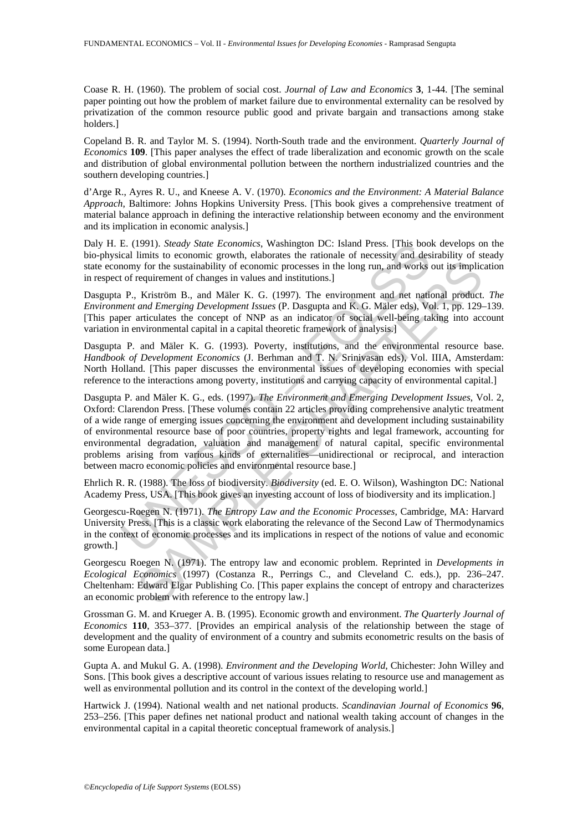Coase R. H. (1960). The problem of social cost. *Journal of Law and Economics* **3**, 1-44. [The seminal paper pointing out how the problem of market failure due to environmental externality can be resolved by privatization of the common resource public good and private bargain and transactions among stake holders.]

Copeland B. R. and Taylor M. S. (1994). North-South trade and the environment. *Quarterly Journal of Economics* **109**. [This paper analyses the effect of trade liberalization and economic growth on the scale and distribution of global environmental pollution between the northern industrialized countries and the southern developing countries.]

d'Arge R., Ayres R. U., and Kneese A. V. (1970). *Economics and the Environment: A Material Balance Approach*, Baltimore: Johns Hopkins University Press. [This book gives a comprehensive treatment of material balance approach in defining the interactive relationship between economy and the environment and its implication in economic analysis.]

Daly H. E. (1991). *Steady State Economics*, Washington DC: Island Press. [This book develops on the bio-physical limits to economic growth, elaborates the rationale of necessity and desirability of steady state economy for the sustainability of economic processes in the long run, and works out its implication in respect of requirement of changes in values and institutions.]

Dasgupta P., Kriström B., and Mäler K. G. (1997). The environment and net national product. *The Environment and Emerging Development Issues* (P. Dasgupta and K. G. Mäler eds), Vol. 1, pp. 129–139. [This paper articulates the concept of NNP as an indicator of social well-being taking into account variation in environmental capital in a capital theoretic framework of analysis.]

Dasgupta P. and Mäler K. G. (1993). Poverty, institutions, and the environmental resource base. *Handbook of Development Economics* (J. Berhman and T. N. Srinivasan eds), Vol. IIIA, Amsterdam: North Holland. [This paper discusses the environmental issues of developing economies with special reference to the interactions among poverty, institutions and carrying capacity of environmental capital.]

E. (1991). *Steady State Economics*, Washington DC: Island Press. [This bool)<br>call limits to economic growth, claborates the rationale of necessity and descalinations of more interval, calocates the rationale of necessity y for the sustainability of economic processes in the long run, and works out its implic<br>requirement of changes in values and institutions.]<br> *Krististin B.*, and Mäler K. 6. (1997). The environment and net national produ Dasgupta P. and Mäler K. G., eds. (1997). *The Environment and Emerging Development Issues*, Vol. 2, Oxford: Clarendon Press. [These volumes contain 22 articles providing comprehensive analytic treatment of a wide range of emerging issues concerning the environment and development including sustainability of environmental resource base of poor countries, property rights and legal framework, accounting for environmental degradation, valuation and management of natural capital, specific environmental problems arising from various kinds of externalities—unidirectional or reciprocal, and interaction between macro economic policies and environmental resource base.]

Ehrlich R. R. (1988). The loss of biodiversity. *Biodiversity* (ed. E. O. Wilson), Washington DC: National Academy Press, USA. [This book gives an investing account of loss of biodiversity and its implication.]

Georgescu-Roegen N. (1971). *The Entropy Law and the Economic Processes*, Cambridge, MA: Harvard University Press. [This is a classic work elaborating the relevance of the Second Law of Thermodynamics in the context of economic processes and its implications in respect of the notions of value and economic growth.]

Georgescu Roegen N. (1971). The entropy law and economic problem. Reprinted in *Developments in Ecological Economics* (1997) (Costanza R., Perrings C., and Cleveland C. eds.), pp. 236–247. Cheltenham: Edward Elgar Publishing Co. [This paper explains the concept of entropy and characterizes an economic problem with reference to the entropy law.]

Grossman G. M. and Krueger A. B. (1995). Economic growth and environment. *The Quarterly Journal of Economics* **110**, 353–377. [Provides an empirical analysis of the relationship between the stage of development and the quality of environment of a country and submits econometric results on the basis of some European data.]

Gupta A. and Mukul G. A. (1998). *Environment and the Developing World*, Chichester: John Willey and Sons. [This book gives a descriptive account of various issues relating to resource use and management as well as environmental pollution and its control in the context of the developing world.

Hartwick J. (1994). National wealth and net national products. *Scandinavian Journal of Economics* **96**, 253–256. [This paper defines net national product and national wealth taking account of changes in the environmental capital in a capital theoretic conceptual framework of analysis.]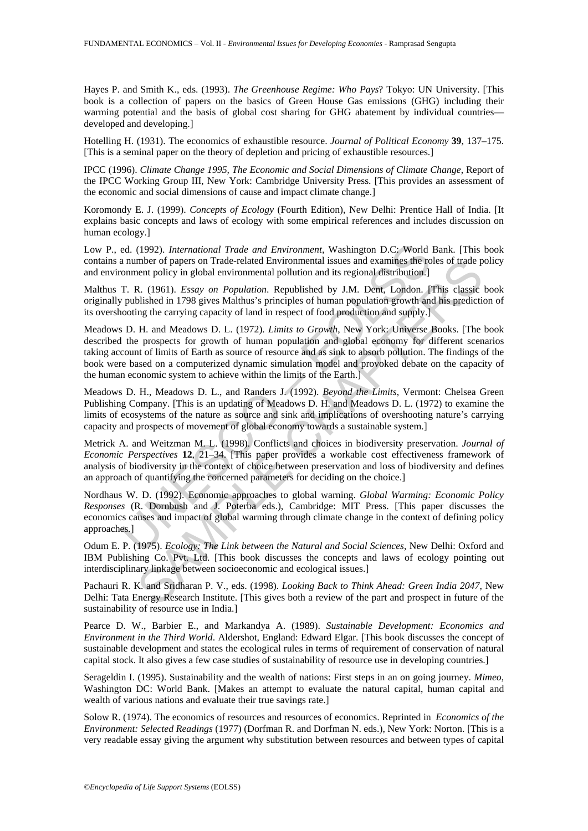Hayes P. and Smith K., eds. (1993). *The Greenhouse Regime: Who Pays*? Tokyo: UN University. [This book is a collection of papers on the basics of Green House Gas emissions (GHG) including their warming potential and the basis of global cost sharing for GHG abatement by individual countries developed and developing.]

Hotelling H. (1931). The economics of exhaustible resource. *Journal of Political Economy* **39**, 137–175. [This is a seminal paper on the theory of depletion and pricing of exhaustible resources.]

IPCC (1996). *Climate Change 1995, The Economic and Social Dimensions of Climate Change*, Report of the IPCC Working Group III, New York: Cambridge University Press. [This provides an assessment of the economic and social dimensions of cause and impact climate change.]

Koromondy E. J. (1999). *Concepts of Ecology* (Fourth Edition), New Delhi: Prentice Hall of India. [It explains basic concepts and laws of ecology with some empirical references and includes discussion on human ecology.]

Low P., ed. (1992). *International Trade and Environment*, Washington D.C: World Bank. [This book contains a number of papers on Trade-related Environmental issues and examines the roles of trade policy and environment policy in global environmental pollution and its regional distribution.]

Malthus T. R. (1961). *Essay on Population*. Republished by J.M. Dent, London. [This classic book originally published in 1798 gives Malthus's principles of human population growth and his prediction of its overshooting the carrying capacity of land in respect of food production and supply.]

ed. (1992). *International Trade and Environment*, Washington D.C: World a number of papers on Trade-related Environmental issues and examines the romment polivia in global environmental polition and its regional distribut mber of papers on Trade-related Environmental issues and examines the roles of trade pient per by papers on Trade-related Environmental polition. Republished by J.M. Dent, London. [This classic blished in 1798 gives Malth Meadows D. H. and Meadows D. L. (1972). *Limits to Growth*, New York: Universe Books. [The book described the prospects for growth of human population and global economy for different scenarios taking account of limits of Earth as source of resource and as sink to absorb pollution. The findings of the book were based on a computerized dynamic simulation model and provoked debate on the capacity of the human economic system to achieve within the limits of the Earth.]

Meadows D. H., Meadows D. L., and Randers J. (1992). *Beyond the Limits*, Vermont: Chelsea Green Publishing Company. [This is an updating of Meadows D. H. and Meadows D. L. (1972) to examine the limits of ecosystems of the nature as source and sink and implications of overshooting nature's carrying capacity and prospects of movement of global economy towards a sustainable system.]

Metrick A. and Weitzman M. L. (1998). Conflicts and choices in biodiversity preservation. *Journal of Economic Perspectives* **12**, 21–34. [This paper provides a workable cost effectiveness framework of analysis of biodiversity in the context of choice between preservation and loss of biodiversity and defines an approach of quantifying the concerned parameters for deciding on the choice.]

Nordhaus W. D. (1992). Economic approaches to global warning. *Global Warming: Economic Policy Responses* (R. Dornbush and J. Poterba eds.), Cambridge: MIT Press. [This paper discusses the economics causes and impact of global warming through climate change in the context of defining policy approaches.]

Odum E. P. (1975). *Ecology: The Link between the Natural and Social Sciences*, New Delhi: Oxford and IBM Publishing Co. Pvt. Ltd. [This book discusses the concepts and laws of ecology pointing out interdisciplinary linkage between socioeconomic and ecological issues.]

Pachauri R. K. and Sridharan P. V., eds. (1998). *Looking Back to Think Ahead: Green India 2047*, New Delhi: Tata Energy Research Institute. [This gives both a review of the part and prospect in future of the sustainability of resource use in India.]

Pearce D. W., Barbier E., and Markandya A. (1989). *Sustainable Development: Economics and Environment in the Third World*. Aldershot, England: Edward Elgar. [This book discusses the concept of sustainable development and states the ecological rules in terms of requirement of conservation of natural capital stock. It also gives a few case studies of sustainability of resource use in developing countries.]

Serageldin I. (1995). Sustainability and the wealth of nations: First steps in an on going journey. *Mimeo*, Washington DC: World Bank. [Makes an attempt to evaluate the natural capital, human capital and wealth of various nations and evaluate their true savings rate.]

Solow R. (1974). The economics of resources and resources of economics. Reprinted in *Economics of the Environment: Selected Readings* (1977) (Dorfman R. and Dorfman N. eds.), New York: Norton. [This is a very readable essay giving the argument why substitution between resources and between types of capital